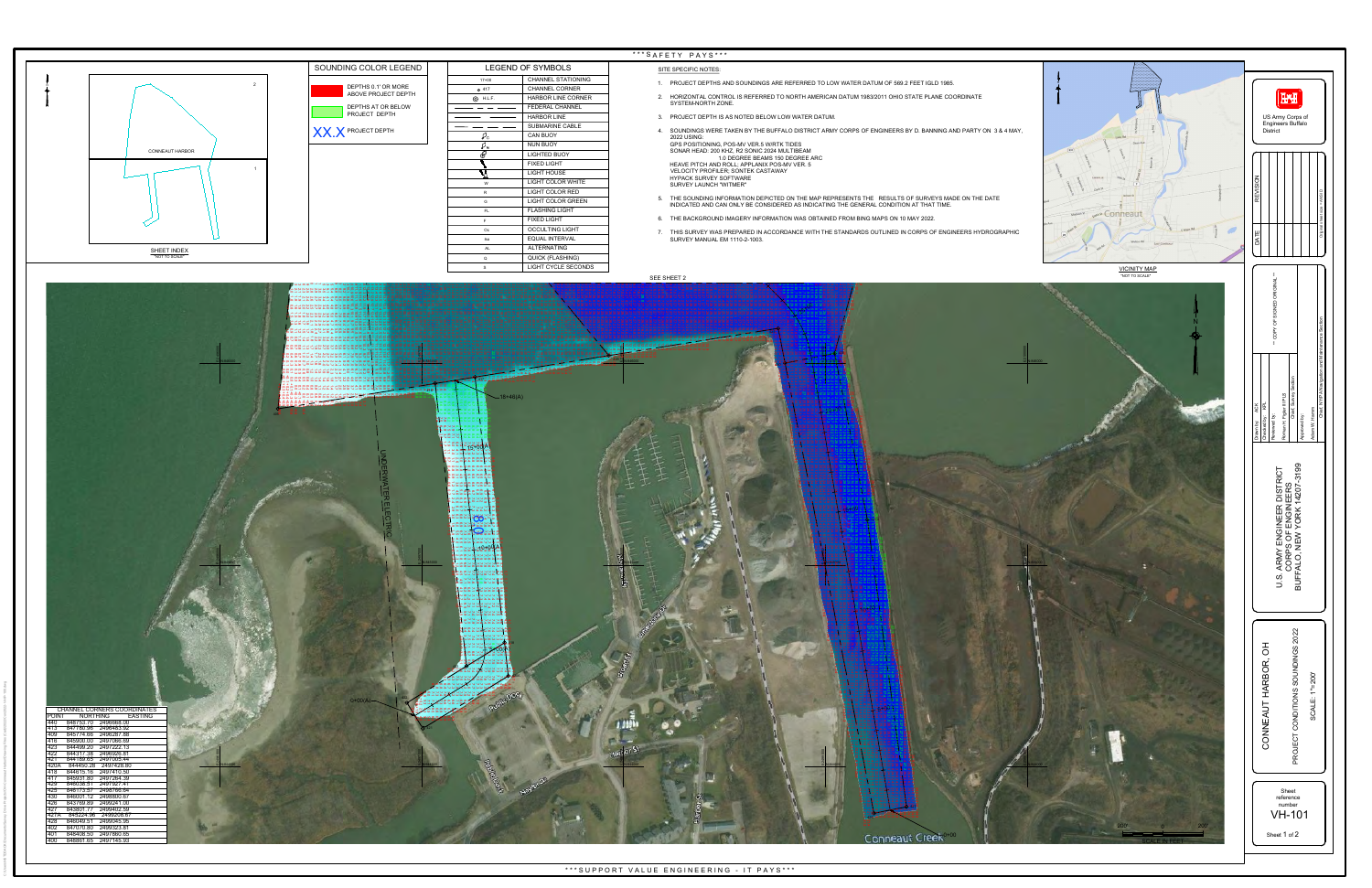C:\Users\H5TDOACK\Documents\Survey Drive Projects\OH-Conneaut Harbor\Drawing Files (Cad)\2022\Con2022-V-HP-100.dwg

- 
- 
- 
- 
- 
- 
- 
- 



| <b>ND OF SYMBOLS</b> |                            |  |
|----------------------|----------------------------|--|
|                      | <b>CHANNEL STATIONING</b>  |  |
|                      | <b>CHANNEL CORNER</b>      |  |
|                      | <b>HARBOR LINE CORNER</b>  |  |
|                      | <b>FEDERAL CHANNEL</b>     |  |
|                      | <b>HARBOR LINE</b>         |  |
|                      | <b>SUBMARINE CABLE</b>     |  |
|                      | <b>CAN BUOY</b>            |  |
|                      | <b>NUN BUOY</b>            |  |
|                      | <b>LIGHTED BUOY</b>        |  |
|                      | <b>FIXED LIGHT</b>         |  |
|                      | <b>LIGHT HOUSE</b>         |  |
|                      | LIGHT COLOR WHITE          |  |
|                      | <b>LIGHT COLOR RED</b>     |  |
|                      | <b>LIGHT COLOR GREEN</b>   |  |
|                      | <b>FLASHING LIGHT</b>      |  |
|                      | <b>FIXED LIGHT</b>         |  |
|                      | <b>OCCULTING LIGHT</b>     |  |
|                      | <b>EQUAL INTERVAL</b>      |  |
|                      | <b>ALTERNATING</b>         |  |
|                      | <b>QUICK (FLASHING)</b>    |  |
|                      | <b>LIGHT CYCLE SECONDS</b> |  |